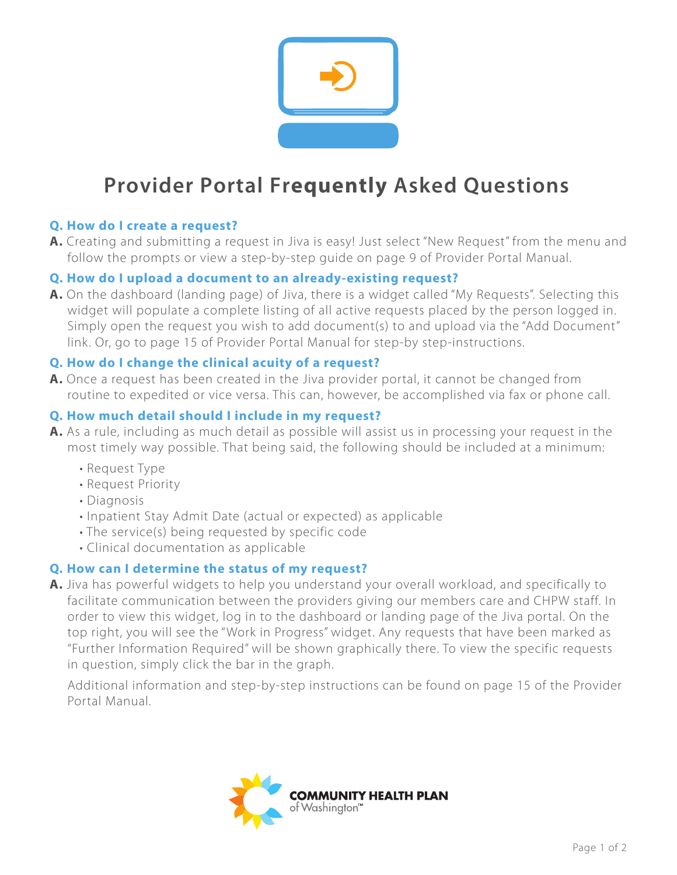

# **Provider Portal Frequently Asked Questions**

## **Q. How do I create a request?**

**A.** Creating and submitting a request in Jiva is easy! Just select "New Request" from the menu and follow the prompts or view a step-by-step guide on page 9 of Provider Portal Manual.

## **Q. How do I upload a document to an already-existing request?**

**A.** On the dashboard (landing page) of Jiva, there is a widget called "My Requests". Selecting this widget will populate a complete listing of all active requests placed by the person logged in. Simply open the request you wish to add document(s) to and upload via the "Add Document" link. Or, go to page 15 of Provider Portal Manual for step-by step-instructions.

## **Q. How do I change the clinical acuity of a request?**

**A.** Once a request has been created in the Jiva provider portal, it cannot be changed from routine to expedited or vice versa. This can, however, be accomplished via fax or phone call.

## **Q. How much detail should I include in my request?**

- **A.** As a rule, including as much detail as possible will assist us in processing your request in the most timely way possible. That being said, the following should be included at a minimum:
	- Request Type
	- Request Priority
	- Diagnosis
	- Inpatient Stay Admit Date (actual or expected) as applicable
	- The service(s) being requested by specific code
	- Clinical documentation as applicable

## **Q. How can I determine the status of my request?**

**A.** Jiva has powerful widgets to help you understand your overall workload, and specifically to facilitate communication between the providers giving our members care and CHPW staff. In order to view this widget, log in to the dashboard or landing page of the Jiva portal. On the top right, you will see the "Work in Progress" widget. Any requests that have been marked as "Further Information Required" will be shown graphically there. To view the specific requests in question, simply click the bar in the graph.

Additional information and step-by-step instructions can be found on page 15 of the Provider Portal Manual.